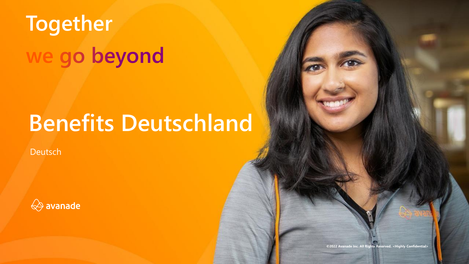# **Together** we go beyond

# **Benefits Deutschland**

Deutsch



**©2022 Avanade Inc. All Rights Reserved. <Highly Confidential>**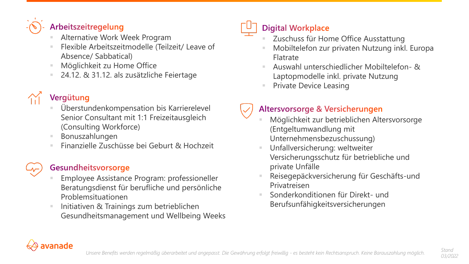

#### Arbeitszeitregelung

- Alternative Work Week Program
- Flexible Arbeitszeitmodelle (Teilzeit/ Leave of Absence/ Sabbatical)
- Möglichkeit zu Home Office
- 24.12. & 31.12. als zusätzliche Feiertage

# Vergütung

- Überstundenkompensation bis Karrierelevel Senior Consultant mit 1:1 Freizeitausgleich (Consulting Workforce)
- **Bonuszahlungen**
- Finanzielle Zuschüsse bei Geburt & Hochzeit

### Gesundheitsvorsorge

- **Employee Assistance Program: professioneller** Beratungsdienst für berufliche und persönliche Problemsituationen
- Initiativen & Trainings zum betrieblichen Gesundheitsmanagement und Wellbeing Weeks

### **Digital Workplace**

- Zuschuss für Home Office Ausstattung
- Mobiltelefon zur privaten Nutzung inkl. Europa Flatrate
- Auswahl unterschiedlicher Mobiltelefon- & Laptopmodelle inkl. private Nutzung
- **Private Device Leasing**

### Altersvorsorge & Versicherungen

- Möglichkeit zur betrieblichen Altersvorsorge (Entgeltumwandlung mit Unternehmensbezuschussung)
- Unfallversicherung: weltweiter Versicherungsschutz für betriebliche und private Unfälle
- Reisegepäckversicherung für Geschäfts-und Privatreisen
- Sonderkonditionen für Direkt- und Berufsunfähigkeitsversicherungen



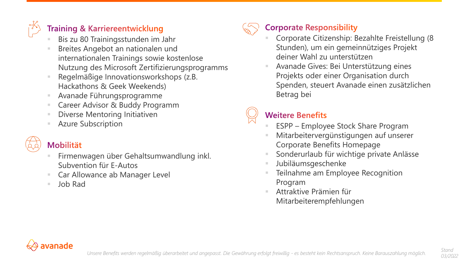

#### **Training & Karriereentwicklung**

- Bis zu 80 Trainingsstunden im Jahr
- Breites Angebot an nationalen und internationalen Trainings sowie kostenlose Nutzung des Microsoft Zertifizierungsprogramms
- Regelmäßige Innovationsworkshops (z.B. Hackathons & Geek Weekends)
- Avanade Führungsprogramme
- Career Advisor & Buddy Programm
- Diverse Mentoring Initiativen
- Azure Subscription



### **Mobilität**

- Firmenwagen über Gehaltsumwandlung inkl. Subvention für E-Autos
- Car Allowance ab Manager Level
- Job Rad



### **Corporate Responsibility**

- Corporate Citizenship: Bezahlte Freistellung (8 Stunden), um ein gemeinnütziges Projekt deiner Wahl zu unterstützen
- Avanade Gives: Bei Unterstützung eines Projekts oder einer Organisation durch Spenden, steuert Avanade einen zusätzlichen Betrag bei

### **Weitere Benefits**

- **ESPP Employee Stock Share Program**
- Mitarbeitervergünstigungen auf unserer Corporate Benefits Homepage
- Sonderurlaub für wichtige private Anlässe
- Jubiläumsgeschenke
- Teilnahme am Employee Recognition Program
- Attraktive Prämien für Mitarbeiterempfehlungen



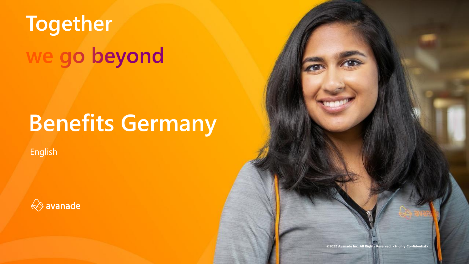# **Together** we go beyond

# **Benefits Germany**

English



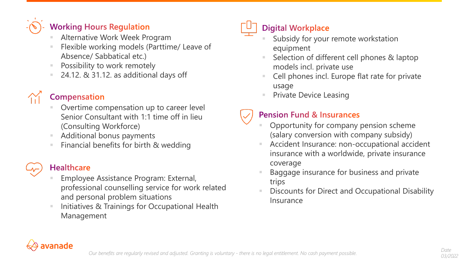

### **Working Hours Regulation**

- Alternative Work Week Program
- Flexible working models (Parttime/ Leave of Absence/ Sabbatical etc.)
- Possibility to work remotely
- $24.12.$  & 31.12. as additional days off

### **Compensation**

- Overtime compensation up to career level Senior Consultant with 1:1 time off in lieu (Consulting Workforce)
- Additional bonus payments
- Financial benefits for birth & wedding

### **Healthcare**

- **Employee Assistance Program: External,** professional counselling service for work related and personal problem situations
- Initiatives & Trainings for Occupational Health Management

## **Digital Workplace**

- Subsidy for your remote workstation equipment
- Selection of different cell phones & laptop models incl. private use
- Cell phones incl. Europe flat rate for private usage
- **Private Device Leasing**

### **Pension Fund & Insurances**

- Opportunity for company pension scheme (salary conversion with company subsidy)
- Accident Insurance: non-occupational accident insurance with a worldwide, private insurance coverage
- Baggage insurance for business and private trips
- Discounts for Direct and Occupational Disability Insurance

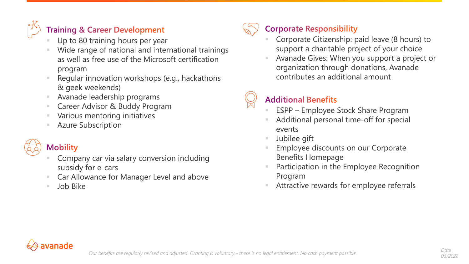

### **Training & Career Development**

- Up to 80 training hours per year
- Wide range of national and international trainings as well as free use of the Microsoft certification program
- Regular innovation workshops (e.g., hackathons & geek weekends)
- Avanade leadership programs
- Career Advisor & Buddy Program
- Various mentoring initiatives
- **Azure Subscription**

### **Mobility**

- Company car via salary conversion including subsidy for e-cars
- Car Allowance for Manager Level and above
- Job Bike



### **Corporate Responsibility**

- Corporate Citizenship: paid leave (8 hours) to support a charitable project of your choice
- Avanade Gives: When you support a project or organization through donations, Avanade contributes an additional amount

### **Additional Benefits**

- **ESPP Employee Stock Share Program**
- Additional personal time-off for special events
- Jubilee gift
- Employee discounts on our Corporate Benefits Homepage
- Participation in the Employee Recognition Program
- Attractive rewards for employee referrals